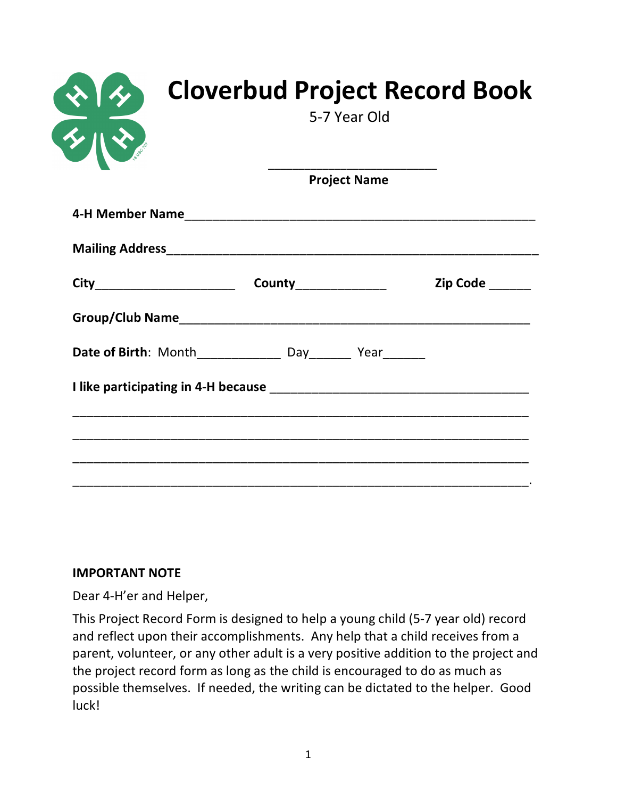|                                 | <b>Project Name</b>            |                 |
|---------------------------------|--------------------------------|-----------------|
|                                 |                                |                 |
|                                 |                                |                 |
| City___________________________ | <b>County_________________</b> | Zip Code ______ |
|                                 |                                |                 |
|                                 |                                |                 |
|                                 |                                |                 |

#### **IMPORTANT NOTE**

Dear 4-H'er and Helper,

This Project Record Form is designed to help a young child (5-7 year old) record and reflect upon their accomplishments. Any help that a child receives from a parent, volunteer, or any other adult is a very positive addition to the project and the project record form as long as the child is encouraged to do as much as possible themselves. If needed, the writing can be dictated to the helper. Good luck!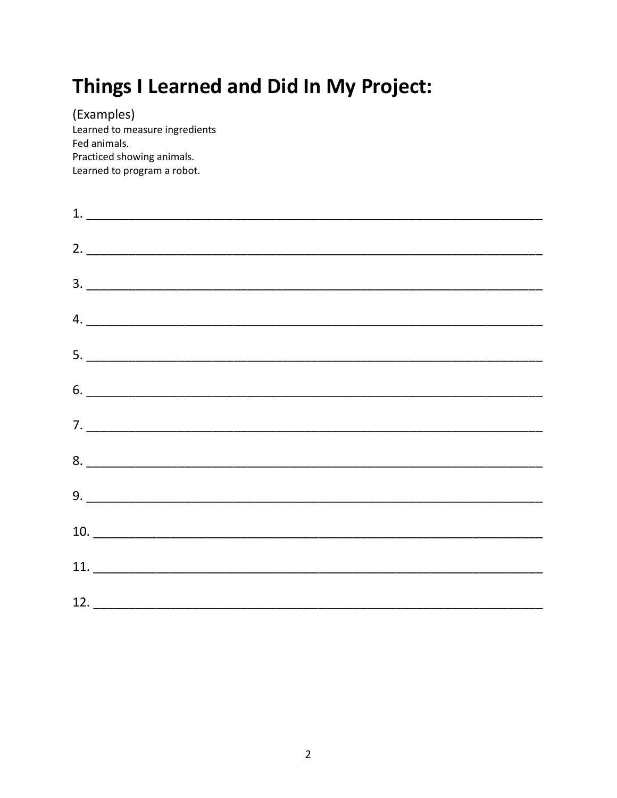# Things I Learned and Did In My Project:

(Examples) Learned to measure ingredients Fed animals. Practiced showing animals. Learned to program a robot.

| $\begin{tabular}{c} 1. & \rule{2.0cm}{0.15cm} \rule{2.0cm}{0.15cm} \end{tabular}$                                                                                                                                                                                                                                                                                                                                                                                                                                                                                                                                                    |  |  |  |
|--------------------------------------------------------------------------------------------------------------------------------------------------------------------------------------------------------------------------------------------------------------------------------------------------------------------------------------------------------------------------------------------------------------------------------------------------------------------------------------------------------------------------------------------------------------------------------------------------------------------------------------|--|--|--|
| $\begin{tabular}{c} 2. & \begin{tabular}{@{}c@{}} \quad \quad \quad & \quad \quad & \quad \quad \\ \quad \quad & \quad \quad & \quad \quad \\ \quad \quad & \quad \quad & \quad \quad \\ \quad \quad & \quad \quad & \quad \quad \\ \quad \quad & \quad \quad & \quad \quad \\ \quad \quad & \quad \quad & \quad \quad \\ \quad \quad & \quad \quad & \quad \quad \\ \quad \quad & \quad \quad & \quad \quad \\ \quad \quad & \quad \quad & \quad \quad \\ \quad \quad & \quad \quad & \quad \quad \\ \quad \quad & \quad \quad & \quad \quad \\ \quad \quad & \quad \quad & \quad \quad \\ \quad \quad & \quad \quad & \quad \quad$ |  |  |  |
| 3.                                                                                                                                                                                                                                                                                                                                                                                                                                                                                                                                                                                                                                   |  |  |  |
| $\mathsf{4.}\hspace{2.5mm}\underline{\hspace{2.5mm}}$                                                                                                                                                                                                                                                                                                                                                                                                                                                                                                                                                                                |  |  |  |
|                                                                                                                                                                                                                                                                                                                                                                                                                                                                                                                                                                                                                                      |  |  |  |
|                                                                                                                                                                                                                                                                                                                                                                                                                                                                                                                                                                                                                                      |  |  |  |
| $7. \_$                                                                                                                                                                                                                                                                                                                                                                                                                                                                                                                                                                                                                              |  |  |  |
|                                                                                                                                                                                                                                                                                                                                                                                                                                                                                                                                                                                                                                      |  |  |  |
|                                                                                                                                                                                                                                                                                                                                                                                                                                                                                                                                                                                                                                      |  |  |  |
|                                                                                                                                                                                                                                                                                                                                                                                                                                                                                                                                                                                                                                      |  |  |  |
|                                                                                                                                                                                                                                                                                                                                                                                                                                                                                                                                                                                                                                      |  |  |  |
|                                                                                                                                                                                                                                                                                                                                                                                                                                                                                                                                                                                                                                      |  |  |  |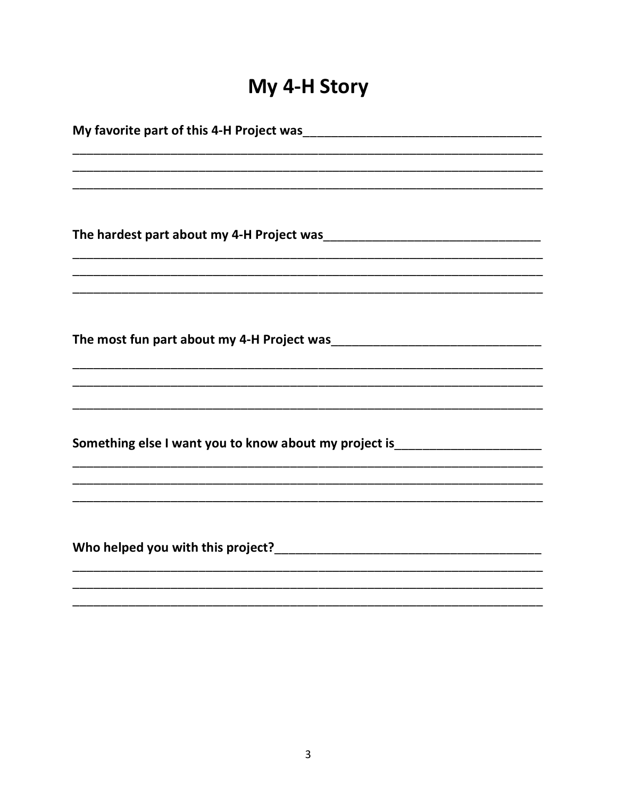# My 4-H Story

| <u> 1989 - Johann Stoff, amerikansk politiker (d. 1989)</u>                      |
|----------------------------------------------------------------------------------|
|                                                                                  |
|                                                                                  |
| Something else I want you to know about my project is___________________________ |
|                                                                                  |
|                                                                                  |
|                                                                                  |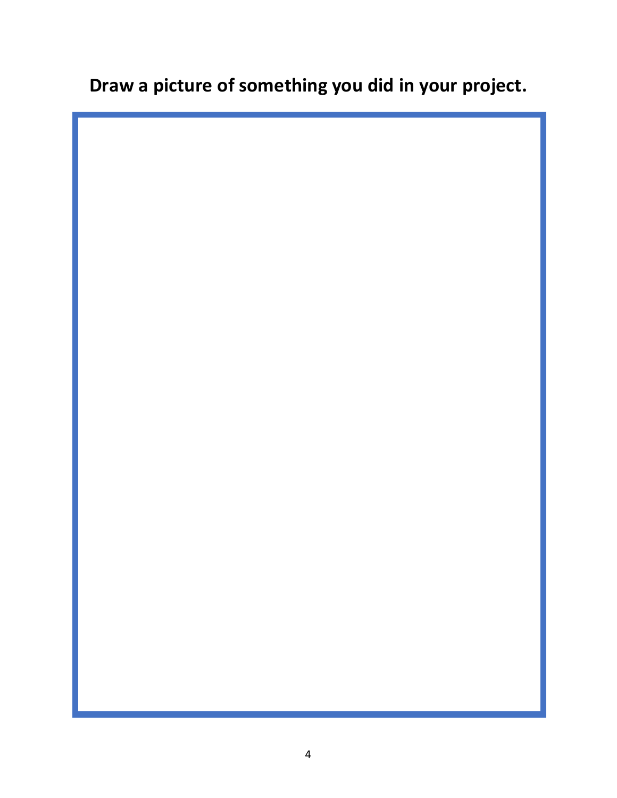## **Draw a picture of something you did in your project.**

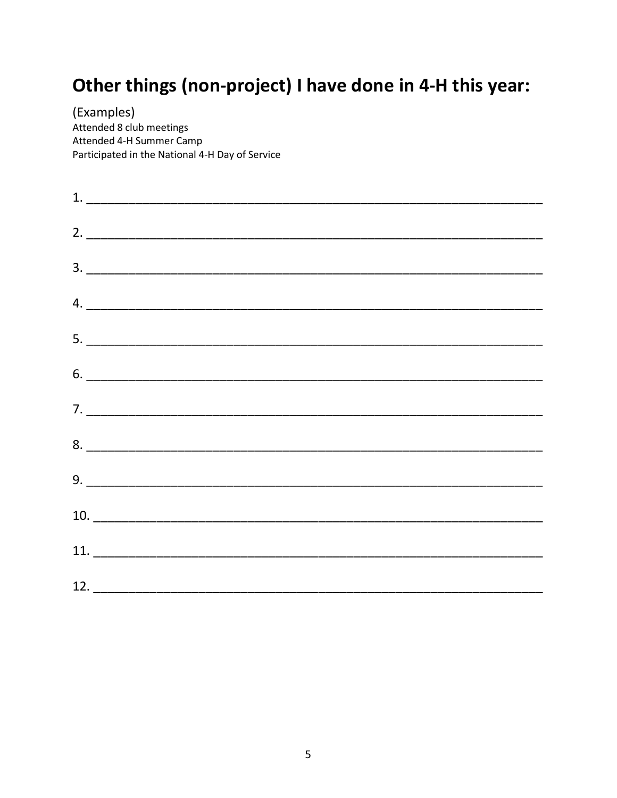## Other things (non-project) I have done in 4-H this year:

(Examples) Attended 8 club meetings Attended 4-H Summer Camp Participated in the National 4-H Day of Service

| $\begin{array}{c} \textbf{2.} \end{array}$                                                                                                                                                                                                                                                                                                                                                                                                                                      |  |  |  |
|---------------------------------------------------------------------------------------------------------------------------------------------------------------------------------------------------------------------------------------------------------------------------------------------------------------------------------------------------------------------------------------------------------------------------------------------------------------------------------|--|--|--|
| $\begin{array}{c} \hline \text{3.} \end{array}$                                                                                                                                                                                                                                                                                                                                                                                                                                 |  |  |  |
| $\begin{minipage}{.4\linewidth} \textbf{4.} \begin{tabular}{l} \textbf{5.} \end{tabular} \end{minipage} \vspace{0.04in} \begin{tabular}{l} \textbf{6.} \end{tabular} \end{minipage} \vspace{0.04in} \begin{tabular}{l} \textbf{7.} \end{tabular} \end{minipage} \vspace{0.04in} \begin{tabular}{l} \textbf{8.} \end{tabular} \end{minipage} \vspace{0.04in} \begin{tabular}{l} \textbf{9.} \end{tabular} \end{minipage} \vspace{0.04in} \begin{tabular}{l} \textbf$             |  |  |  |
| $5. \underline{\hspace{1.5cm}}$                                                                                                                                                                                                                                                                                                                                                                                                                                                 |  |  |  |
| $\begin{tabular}{ c c c c } \hline $6$. & \begin{tabular}{ c c c c c } \hline \multicolumn{3}{ c }{0.9\textwidth} \includegraphics{fig:1000}} \hline \multicolumn{3}{ c }{0.9\textwidth} \includegraphics{fig:1000}} \hline \multicolumn{3}{ c }{0.9\textwidth} \includegraphics{fig:1000}} \hline \multicolumn{3}{ c }{0.9\textwidth} \includegraphics{fig:1000}} \hline \multicolumn{3}{ c }{0.9\textwidth} \includegraphics{fig:1000}} \hline \multicolumn{3}{ c }{0.9\text$ |  |  |  |
| $7. \underline{\hspace{1.5cm}}$                                                                                                                                                                                                                                                                                                                                                                                                                                                 |  |  |  |
| $8. \begin{tabular}{l} \textbf{8.} \end{tabular}$                                                                                                                                                                                                                                                                                                                                                                                                                               |  |  |  |
|                                                                                                                                                                                                                                                                                                                                                                                                                                                                                 |  |  |  |
|                                                                                                                                                                                                                                                                                                                                                                                                                                                                                 |  |  |  |
| 11.                                                                                                                                                                                                                                                                                                                                                                                                                                                                             |  |  |  |
|                                                                                                                                                                                                                                                                                                                                                                                                                                                                                 |  |  |  |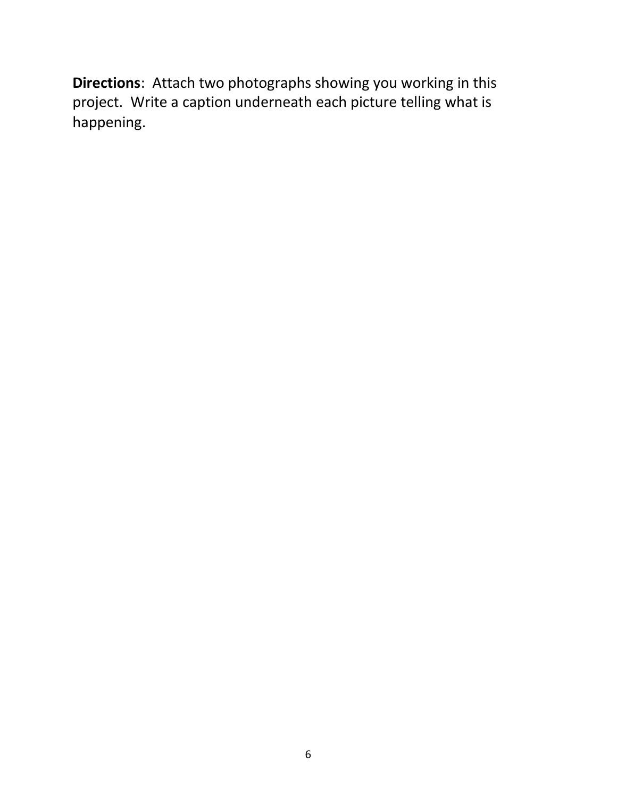**Directions**: Attach two photographs showing you working in this project. Write a caption underneath each picture telling what is happening.